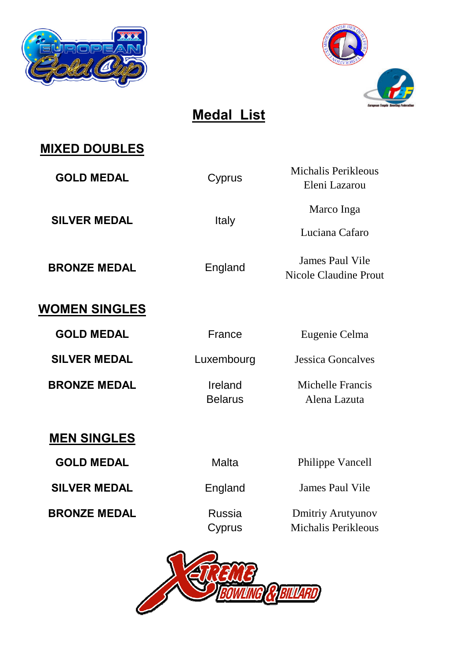



**Medal List**

#### **MIXED DOUBLES**

GOLD MEDAL Cyprus

**SILVER MEDAL** Italy

**BRONZE MEDAL** England

**WOMEN SINGLES**

**GOLD MEDAL** France Eugenie Celma

**BRONZE MEDAL Ireland** Michelle Francis

Michalis Perikleous Eleni Lazarou

Marco Inga

Luciana Cafaro

James Paul Vile Nicole Claudine Prout

**SILVER MEDAL** Luxembourg Jessica Goncalves

Belarus Alena Lazuta

#### **MEN SINGLES**

**SILVER MEDAL** England James Paul Vile

**GOLD MEDAL** Malta Malta Philippe Vancell

**BRONZE MEDAL** Russia Dmitriy Arutyunov Cyprus Michalis Perikleous

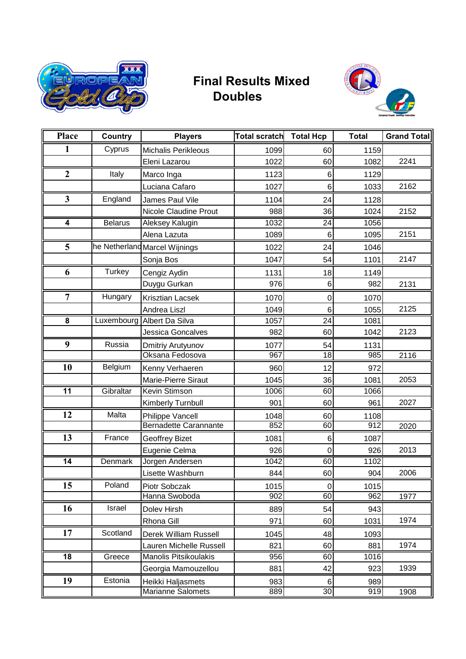

#### **Final Results Mixed Doubles**



| <b>Place</b>            | <b>Country</b> | <b>Players</b>                                          | <b>Total scratch</b> | <b>Total Hcp</b> | <b>Total</b> | <b>Grand Total</b> |
|-------------------------|----------------|---------------------------------------------------------|----------------------|------------------|--------------|--------------------|
| 1                       | Cyprus         | <b>Michalis Perikleous</b>                              | 1099                 | 60               | 1159         |                    |
|                         |                | Eleni Lazarou                                           | 1022                 | 60               | 1082         | 2241               |
| $\boldsymbol{2}$        | Italy          | Marco Inga                                              | 1123                 | 6                | 1129         |                    |
|                         |                | Luciana Cafaro                                          | 1027                 | 6                | 1033         | 2162               |
| $\mathbf{3}$            | England        | James Paul Vile                                         | 1104                 | 24               | 1128         |                    |
|                         |                | <b>Nicole Claudine Prout</b>                            | 988                  | 36               | 1024         | 2152               |
| $\overline{\mathbf{4}}$ | <b>Belarus</b> | Aleksey Kalugin                                         | 1032                 | $\overline{24}$  | 1056         |                    |
|                         |                | Alena Lazuta                                            | 1089                 | $6\phantom{1}6$  | 1095         | 2151               |
| 5                       |                | he Netherland Marcel Wijnings                           | 1022                 | 24               | 1046         |                    |
|                         |                | Sonja Bos                                               | 1047                 | 54               | 1101         | 2147               |
| 6                       | <b>Turkey</b>  | Cengiz Aydin                                            | 1131                 | 18               | 1149         |                    |
|                         |                | Duygu Gurkan                                            | 976                  | 6                | 982          | 2131               |
| $\overline{7}$          | Hungary        | Krisztian Lacsek                                        | 1070                 | $\mathbf 0$      | 1070         |                    |
|                         |                | Andrea Liszl                                            | 1049                 | 6                | 1055         | 2125               |
| $\overline{\mathbf{8}}$ |                | Luxembourg Albert Da Silva                              | 1057                 | $\overline{24}$  | 1081         |                    |
|                         |                | Jessica Goncalves                                       | 982                  | 60               | 1042         | 2123               |
| 9                       | Russia         | Dmitriy Arutyunov                                       | 1077                 | 54               | 1131         |                    |
|                         |                | Oksana Fedosova                                         | 967                  | 18               | 985          | 2116               |
| 10                      | Belgium        | Kenny Verhaeren                                         | 960                  | 12               | 972          |                    |
|                         |                | Marie-Pierre Siraut                                     | 1045                 | 36               | 1081         | 2053               |
| $\overline{11}$         | Gibraltar      | <b>Kevin Stimson</b>                                    | 1006                 | 60               | 1066         |                    |
|                         |                | Kimberly Turnbull                                       | 901                  | 60               | 961          | 2027               |
| 12                      | Malta          | Philippe Vancell                                        | 1048                 | 60               | 1108         |                    |
|                         |                | <b>Bernadette Carannante</b>                            | 852                  | 60               | 912          | 2020               |
| 13                      | France         | <b>Geoffrey Bizet</b>                                   | 1081                 | 6                | 1087         |                    |
|                         |                | Eugenie Celma                                           | 926                  | 0                | 926          | 2013               |
| $\overline{14}$         | <b>Denmark</b> | Jorgen Andersen                                         | 1042                 | 60               | 1102         |                    |
|                         |                | Lisette Washburn                                        | 844                  | 60               | 904          | 2006               |
| 15                      | Poland         | Piotr Sobczak<br>Hanna Swoboda                          | 1015<br>902          | $\pmb{0}$<br>60  | 1015<br>962  |                    |
| 16                      | Israel         |                                                         |                      | 54               |              | 1977               |
|                         |                | Dolev Hirsh<br>Rhona Gill                               | 889<br>971           | 60               | 943<br>1031  | 1974               |
| 17                      | Scotland       |                                                         |                      |                  |              |                    |
|                         |                | Derek William Russell                                   | 1045                 | 48               | 1093         | 1974               |
| 18                      | Greece         | Lauren Michelle Russell<br><b>Manolis Pitsikoulakis</b> | 821<br>956           | 60<br>60         | 881<br>1016  |                    |
|                         |                | Georgia Mamouzellou                                     | 881                  | 42               | 923          | 1939               |
| 19                      | Estonia        |                                                         | 983                  | 6                | 989          |                    |
|                         |                | Heikki Haljasmets<br><b>Marianne Salomets</b>           | 889                  | 30               | 919          | 1908               |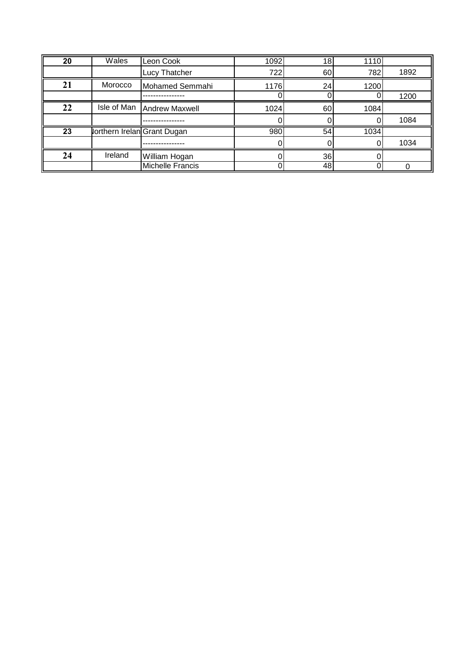| 20 | Wales                              | Leon Cook                  | 1092 | 18 <sub>l</sub> | 1110     |      |
|----|------------------------------------|----------------------------|------|-----------------|----------|------|
|    |                                    | Lucy Thatcher              | 722  | 60              | 782      | 1892 |
| 21 | Morocco                            | Mohamed Semmahi            | 1176 | 24              | 1200     |      |
|    |                                    |                            |      |                 | $\Omega$ | 1200 |
| 22 |                                    | Isle of Man Andrew Maxwell | 1024 | 60              | 1084     |      |
|    |                                    |                            |      |                 |          | 1084 |
| 23 | <b>Jorthern Irelan Grant Dugan</b> |                            | 980  | 54              | 1034     |      |
|    |                                    |                            |      |                 |          | 1034 |
| 24 | Ireland                            | William Hogan              |      | 36              |          |      |
|    |                                    | Michelle Francis           |      | 48              | 0        |      |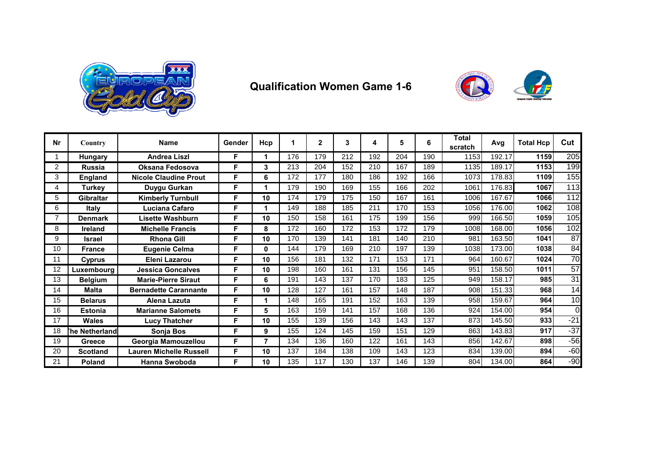

#### **Qualification Women Game 1-6**



| <b>Nr</b>      | Country          | <b>Name</b>                  | Gender | Hcp | 1   | $\mathbf{2}$ | 3   | 4   | 5   | 6   | <b>Total</b><br>scratch | Avg    | <b>Total Hcp</b> | Cut             |
|----------------|------------------|------------------------------|--------|-----|-----|--------------|-----|-----|-----|-----|-------------------------|--------|------------------|-----------------|
|                | Hungary          | <b>Andrea Liszl</b>          | F      |     | 176 | 179          | 212 | 192 | 204 | 190 | 1153                    | 192.17 | 1159             | 205             |
| $\overline{2}$ | <b>Russia</b>    | Oksana Fedosova              | F      | 3   | 213 | 204          | 152 | 210 | 167 | 189 | 1135                    | 189.17 | 1153             | 199             |
| 3              | <b>England</b>   | <b>Nicole Claudine Prout</b> | F      | 6   | 172 | 177          | 180 | 186 | 192 | 166 | 1073                    | 178.83 | 1109             | 155             |
| 4              | <b>Turkey</b>    | Duygu Gurkan                 | F      |     | 179 | 190          | 169 | 155 | 166 | 202 | 1061                    | 176.83 | 1067             | 113             |
| 5              | <b>Gibraltar</b> | <b>Kimberly Turnbull</b>     | F      | 10  | 174 | 179          | 175 | 150 | 167 | 161 | 1006                    | 167.67 | 1066             | 112             |
| 6              | <b>Italy</b>     | Luciana Cafaro               | F      |     | 149 | 188          | 185 | 211 | 170 | 153 | 1056                    | 176.00 | 1062             | 108             |
|                | <b>Denmark</b>   | <b>Lisette Washburn</b>      | F      | 10  | 150 | 158          | 161 | 175 | 199 | 156 | 999                     | 166.50 | 1059             | 105             |
| 8              | <b>Ireland</b>   | <b>Michelle Francis</b>      | F      | 8   | 172 | 160          | 172 | 153 | 172 | 179 | 1008                    | 168.00 | 1056             | 102             |
| 9              | <b>Israel</b>    | <b>Rhona Gill</b>            | F      | 10  | 170 | 139          | 141 | 181 | 140 | 210 | 981                     | 163.50 | 1041             | $\overline{87}$ |
| 10             | <b>France</b>    | <b>Eugenie Celma</b>         | F      | 0   | 144 | 179          | 169 | 210 | 197 | 139 | 1038                    | 173.00 | 1038             | $\overline{84}$ |
| 11             | Cyprus           | Eleni Lazarou                | F      | 10  | 156 | 181          | 132 | 171 | 153 | 171 | 964                     | 160.67 | 1024             | 70              |
| 12             | Luxembourg       | <b>Jessica Goncalves</b>     | F      | 10  | 198 | 160          | 161 | 131 | 156 | 145 | 951                     | 158.50 | 1011             | $\overline{57}$ |
| 13             | <b>Belgium</b>   | <b>Marie-Pierre Siraut</b>   | F      | 6   | 191 | 143          | 137 | 170 | 183 | 125 | 949                     | 158.17 | 985              | $\overline{31}$ |
| 14             | <b>Malta</b>     | <b>Bernadette Carannante</b> | F      | 10  | 128 | 127          | 161 | 157 | 148 | 187 | 908                     | 151.33 | 968              | $\overline{14}$ |
| 15             | <b>Belarus</b>   | Alena Lazuta                 | F      |     | 148 | 165          | 191 | 152 | 163 | 139 | 958                     | 159.67 | 964              | 10              |
| 16             | <b>Estonia</b>   | <b>Marianne Salomets</b>     | F      | 5   | 163 | 159          | 141 | 157 | 168 | 136 | 924                     | 154.00 | 954              | $\Omega$        |
| 17             | <b>Wales</b>     | <b>Lucy Thatcher</b>         | F      | 10  | 155 | 139          | 156 | 143 | 143 | 137 | 873                     | 145.50 | 933              | $-21$           |
| 18             | he Netherland    | Sonja Bos                    | F      | 9   | 155 | 124          | 145 | 159 | 151 | 129 | 863                     | 143.83 | 917              | $-37$           |
| 19             | Greece           | Georgia Mamouzellou          | F      | э.  | 134 | 136          | 160 | 122 | 161 | 143 | 856                     | 142.67 | 898              | $-56$           |
| 20             | <b>Scotland</b>  | Lauren Michelle Russell      | F      | 10  | 137 | 184          | 138 | 109 | 143 | 123 | 834                     | 139.00 | 894              | $-60$           |
| 21             | Poland           | <b>Hanna Swoboda</b>         | F      | 10  | 135 | 117          | 130 | 137 | 146 | 139 | 804                     | 134.00 | 864              | $-90$           |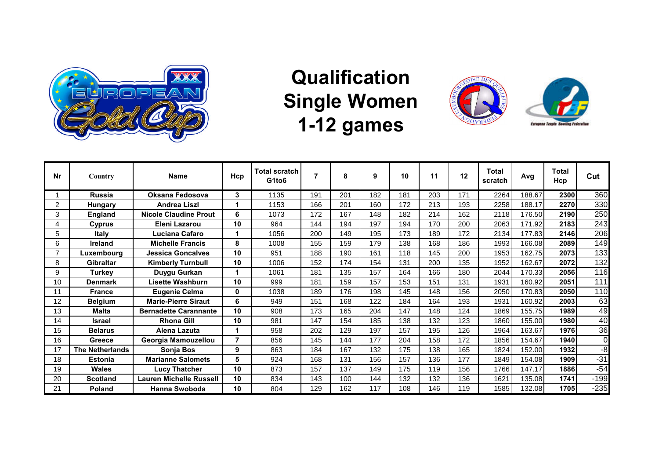

# **Qualification Single Women 1-12 games**





| Nr | Country                | <b>Name</b>                    | Hcp            | Total scratch<br>G1to6 |     | 8   | 9   | 10  | 11  | 12  | Total<br>scratch | Avg    | Total<br>Hcp | Cut            |
|----|------------------------|--------------------------------|----------------|------------------------|-----|-----|-----|-----|-----|-----|------------------|--------|--------------|----------------|
|    | <b>Russia</b>          | Oksana Fedosova                | 3              | 1135                   | 191 | 201 | 182 | 181 | 203 | 171 | 2264             | 188.67 | 2300         | 360            |
| 2  | <b>Hungary</b>         | <b>Andrea Liszl</b>            |                | 1153                   | 166 | 201 | 160 | 172 | 213 | 193 | 2258             | 188.17 | 2270         | 330            |
| 3  | <b>England</b>         | <b>Nicole Claudine Prout</b>   | 6              | 1073                   | 172 | 167 | 148 | 182 | 214 | 162 | 2118             | 176.50 | 2190         | 250            |
| 4  | Cyprus                 | Eleni Lazarou                  | 10             | 964                    | 144 | 194 | 197 | 194 | 170 | 200 | 2063             | 171.92 | 2183         | 243            |
| 5  | <b>Italy</b>           | Luciana Cafaro                 | 1              | 1056                   | 200 | 149 | 195 | 173 | 189 | 172 | 2134             | 177.83 | 2146         | 206            |
| 6  | Ireland                | <b>Michelle Francis</b>        | 8              | 1008                   | 155 | 159 | 179 | 138 | 168 | 186 | 1993             | 166.08 | 2089         | 149            |
| 7  | Luxembourg             | Jessica Goncalves              | 10             | 951                    | 188 | 190 | 161 | 118 | 145 | 200 | 1953             | 162.75 | 2073         | 133            |
| 8  | <b>Gibraltar</b>       | <b>Kimberly Turnbull</b>       | 10             | 1006                   | 152 | 174 | 154 | 131 | 200 | 135 | 1952             | 162.67 | 2072         | 132            |
| 9  | Turkey                 | Duygu Gurkan                   |                | 1061                   | 181 | 135 | 157 | 164 | 166 | 180 | 2044             | 170.33 | 2056         | 116            |
| 10 | <b>Denmark</b>         | Lisette Washburn               | 10             | 999                    | 181 | 159 | 157 | 153 | 151 | 131 | 1931             | 160.92 | 2051         | 111            |
| 11 | <b>France</b>          | Eugenie Celma                  | 0              | 1038                   | 189 | 176 | 198 | 145 | 148 | 156 | 2050             | 170.83 | 2050         | 110            |
| 12 | <b>Belgium</b>         | <b>Marie-Pierre Siraut</b>     | 6              | 949                    | 151 | 168 | 122 | 184 | 164 | 193 | 1931             | 160.92 | 2003         | 63             |
| 13 | <b>Malta</b>           | <b>Bernadette Carannante</b>   | 10             | 908                    | 173 | 165 | 204 | 147 | 148 | 124 | 1869             | 155.75 | 1989         | 49             |
| 14 | Israel                 | <b>Rhona Gill</b>              | 10             | 981                    | 147 | 154 | 185 | 138 | 132 | 123 | 1860             | 155.00 | 1980         | 40             |
| 15 | <b>Belarus</b>         | Alena Lazuta                   |                | 958                    | 202 | 129 | 197 | 157 | 195 | 126 | 1964             | 163.67 | 1976         | 36             |
| 16 | Greece                 | Georgia Mamouzellou            | $\overline{7}$ | 856                    | 145 | 144 | 177 | 204 | 158 | 172 | 1856             | 154.67 | 1940         | $\overline{O}$ |
| 17 | <b>The Netherlands</b> | Sonja Bos                      | 9              | 863                    | 184 | 167 | 132 | 175 | 138 | 165 | 1824             | 152.00 | 1932         | $-8$           |
| 18 | <b>Estonia</b>         | <b>Marianne Salomets</b>       | 5              | 924                    | 168 | 131 | 156 | 157 | 136 | 177 | 1849             | 154.08 | 1909         | $-31$          |
| 19 | <b>Wales</b>           | <b>Lucy Thatcher</b>           | 10             | 873                    | 157 | 137 | 149 | 175 | 119 | 156 | 1766             | 147.17 | 1886         | $-54$          |
| 20 | <b>Scotland</b>        | <b>Lauren Michelle Russell</b> | 10             | 834                    | 143 | 100 | 144 | 132 | 132 | 136 | 1621             | 135.08 | 1741         | $-199$         |
| 21 | <b>Poland</b>          | <b>Hanna Swoboda</b>           | 10             | 804                    | 129 | 162 | 117 | 108 | 146 | 119 | 1585             | 132.08 | 1705         | $-235$         |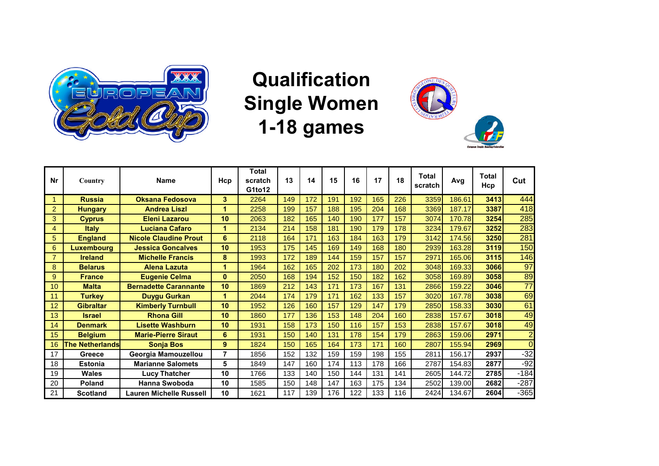

# **Qualification Single Women 1-18 games**



| Nr             | Country                | <b>Name</b>                  | Hcp      | <b>Total</b><br>scratch<br>G1to12 | 13  | 14  | 15  | 16  | 17  | 18  | <b>Total</b><br>scratch | Ava    | <b>Total</b><br>Hcp | Cut             |
|----------------|------------------------|------------------------------|----------|-----------------------------------|-----|-----|-----|-----|-----|-----|-------------------------|--------|---------------------|-----------------|
| 1              | <b>Russia</b>          | <b>Oksana Fedosova</b>       | 3        | 2264                              | 149 | 172 | 191 | 192 | 165 | 226 | 3359                    | 186.61 | 3413                | 444             |
| $\overline{2}$ | <b>Hungary</b>         | <b>Andrea Liszl</b>          | 1        | 2258                              | 199 | 157 | 188 | 195 | 204 | 168 | 3369                    | 187.17 | 3387                | 418             |
| 3              | <b>Cyprus</b>          | <b>Eleni Lazarou</b>         | 10       | 2063                              | 182 | 165 | 140 | 190 | 177 | 157 | 3074                    | 170.78 | 3254                | 285             |
| 4              | <b>Italy</b>           | <b>Luciana Cafaro</b>        | 1        | 2134                              | 214 | 158 | 181 | 190 | 179 | 178 | 3234                    | 179.67 | 3252                | 283             |
| 5              | <b>England</b>         | <b>Nicole Claudine Prout</b> | 6        | 2118                              | 164 | 171 | 163 | 184 | 163 | 179 | 3142                    | 174.56 | 3250                | 281             |
| 6              | <b>Luxembourg</b>      | <b>Jessica Goncalves</b>     | 10       | 1953                              | 175 | 145 | 169 | 149 | 168 | 180 | 2939                    | 163.28 | 3119                | 150             |
| $\overline{7}$ | <b>Ireland</b>         | <b>Michelle Francis</b>      | 8        | 1993                              | 172 | 189 | 144 | 159 | 157 | 157 | 2971                    | 165.06 | 3115                | 146             |
| 8              | <b>Belarus</b>         | <b>Alena Lazuta</b>          | 1        | 1964                              | 162 | 165 | 202 | 173 | 180 | 202 | 3048                    | 169.33 | 3066                | 97              |
| 9              | <b>France</b>          | <b>Eugenie Celma</b>         | $\bf{0}$ | 2050                              | 168 | 194 | 152 | 150 | 182 | 162 | 3058                    | 169.89 | 3058                | 89              |
| 10             | <b>Malta</b>           | <b>Bernadette Carannante</b> | 10       | 1869                              | 212 | 143 | 171 | 173 | 167 | 131 | 2866                    | 159.22 | 3046                | $\overline{77}$ |
| 11             | <b>Turkey</b>          | Duygu Gurkan                 | 1        | 2044                              | 174 | 179 | 171 | 162 | 133 | 157 | 3020                    | 167.78 | 3038                | 69              |
| 12             | <b>Gibraltar</b>       | <b>Kimberly Turnbull</b>     | 10       | 1952                              | 126 | 160 | 157 | 129 | 147 | 179 | 2850                    | 158.33 | 3030                | 61              |
| 13             | <b>Israel</b>          | <b>Rhona Gill</b>            | 10       | 1860                              | 177 | 136 | 153 | 148 | 204 | 160 | 2838                    | 157.67 | 3018                | 49              |
| 14             | <b>Denmark</b>         | <b>Lisette Washburn</b>      | 10       | 1931                              | 158 | 173 | 150 | 116 | 157 | 153 | 2838                    | 157.67 | 3018                | 49              |
| 15             | <b>Belgium</b>         | <b>Marie-Pierre Siraut</b>   | 6        | 1931                              | 150 | 140 | 131 | 178 | 154 | 179 | 2863                    | 159.06 | 2971                | $\overline{2}$  |
| 16             | <b>The Netherlands</b> | <b>Sonja Bos</b>             | 9        | 1824                              | 150 | 165 | 164 | 173 | 171 | 160 | 2807                    | 155.94 | 2969                | $\Omega$        |
| 17             | Greece                 | Georgia Mamouzellou          | 7        | 1856                              | 152 | 132 | 159 | 159 | 198 | 155 | 2811                    | 156.17 | 2937                | $-32$           |
| 18             | <b>Estonia</b>         | <b>Marianne Salomets</b>     | 5        | 1849                              | 147 | 160 | 174 | 113 | 178 | 166 | 2787                    | 154.83 | 2877                | $-92$           |
| 19             | <b>Wales</b>           | <b>Lucy Thatcher</b>         | 10       | 1766                              | 133 | 140 | 150 | 144 | 131 | 141 | 2605                    | 144.72 | 2785                | $-184$          |
| 20             | <b>Poland</b>          | <b>Hanna Swoboda</b>         | 10       | 1585                              | 150 | 148 | 147 | 163 | 175 | 134 | 2502                    | 139.00 | 2682                | $-287$          |
| 21             | <b>Scotland</b>        | Lauren Michelle Russell      | 10       | 1621                              | 117 | 139 | 176 | 122 | 133 | 116 | 2424                    | 134.67 | 2604                | $-365$          |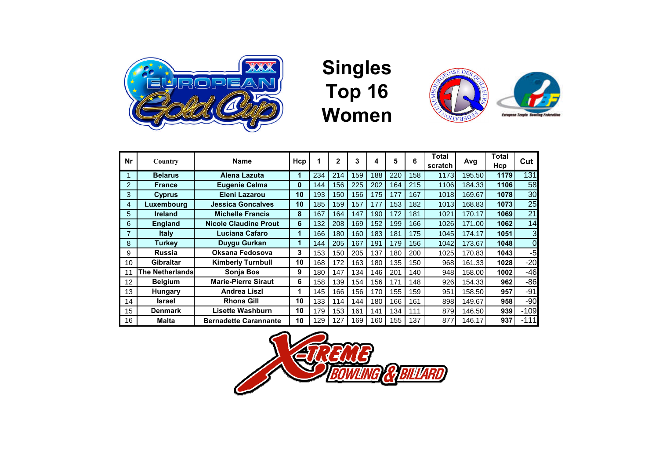

## **Singles Top 16 Women**



| Nr | Country                | <b>Name</b>                  | Hcp | 1   | $\mathbf{2}$ | 3   | 4   | 5   | 6   | Total<br>scratch | Avg    | Total<br>Hcp | Cut    |
|----|------------------------|------------------------------|-----|-----|--------------|-----|-----|-----|-----|------------------|--------|--------------|--------|
|    | <b>Belarus</b>         | <b>Alena Lazuta</b>          | 1   | 234 | 214          | 159 | 188 | 220 | 158 | 1173             | 195.50 | 1179         | 131    |
| 2  | <b>France</b>          | <b>Eugenie Celma</b>         | 0   | 144 | 156          | 225 | 202 | 164 | 215 | 1106             | 184.33 | 1106         | 58     |
| 3  | <b>Cyprus</b>          | Eleni Lazarou                | 10  | 193 | 150          | 156 | 175 | 177 | 167 | 1018             | 169.67 | 1078         | 30     |
| 4  | Luxembourg             | <b>Jessica Goncalves</b>     | 10  | 185 | 159          | 157 | 177 | 153 | 182 | 1013             | 168.83 | 1073         | 25     |
| 5  | <b>Ireland</b>         | <b>Michelle Francis</b>      | 8   | 167 | 164          | 147 | 190 | 172 | 181 | 1021             | 170.17 | 1069         | 21     |
| 6  | <b>England</b>         | <b>Nicole Claudine Prout</b> | 6   | 132 | 208          | 169 | 152 | 199 | 166 | 1026             | 171.00 | 1062         | 14     |
|    | <b>Italy</b>           | Luciana Cafaro               | 1   | 166 | 180          | 160 | 183 | 181 | 175 | 1045             | 174.17 | 1051         | 3      |
| 8  | Turkev                 | Duygu Gurkan                 | 1   | 144 | 205          | 167 | 191 | 179 | 156 | 1042             | 173.67 | 1048         | 0      |
| 9  | <b>Russia</b>          | Oksana Fedosova              | 3   | 153 | 150          | 205 | 137 | 180 | 200 | 1025             | 170.83 | 1043         | $-5$   |
| 10 | <b>Gibraltar</b>       | <b>Kimberly Turnbull</b>     | 10  | 168 | 172          | 163 | 180 | 135 | 150 | 968              | 161.33 | 1028         | $-20$  |
|    | <b>The Netherlands</b> | <b>Sonja Bos</b>             | 9   | 180 | 147          | 134 | 146 | 201 | 140 | 948              | 158.00 | 1002         | $-46$  |
| 12 | <b>Belgium</b>         | <b>Marie-Pierre Siraut</b>   | 6   | 158 | 139          | 154 | 156 | 171 | 148 | 926              | 154.33 | 962          | $-86$  |
| 13 | Hungary                | <b>Andrea Liszl</b>          | 1   | 145 | 166          | 156 | 170 | 155 | 159 | 951              | 158.50 | 957          | $-91$  |
| 14 | <b>Israel</b>          | <b>Rhona Gill</b>            | 10  | 133 | 114          | 144 | 180 | 166 | 161 | 898              | 149.67 | 958          | $-90$  |
| 15 | <b>Denmark</b>         | Lisette Washburn             | 10  | 179 | 153          | 161 | 141 | 134 | 111 | 879              | 146.50 | 939          | $-109$ |
| 16 | <b>Malta</b>           | <b>Bernadette Carannante</b> | 10  | 129 | 127          | 169 | 160 | 155 | 137 | 877              | 146.17 | 937          | $-111$ |

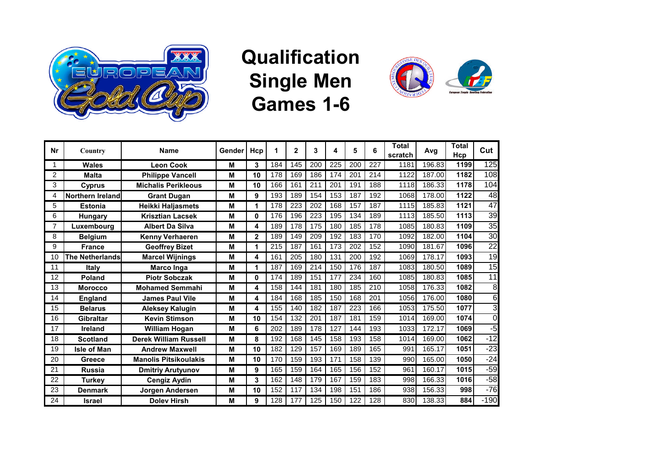

## **Qualification Single Men Games 1-6**



| Nr             | Country                | <b>Name</b>                  | Gender | Hcp          | 1   | $\mathbf{2}$     | 3   | 4   | 5   | 6   | <b>Total</b><br>scratch | Avg    | <b>Total</b><br>Hcp | Cut             |
|----------------|------------------------|------------------------------|--------|--------------|-----|------------------|-----|-----|-----|-----|-------------------------|--------|---------------------|-----------------|
|                | Wales                  | <b>Leon Cook</b>             | M      | 3            | 184 | 145              | 200 | 225 | 200 | 227 | 1181                    | 196.83 | 1199                | 125             |
| $\overline{2}$ | <b>Malta</b>           | <b>Philippe Vancell</b>      | M      | 10           | 178 | 169              | 186 | 174 | 201 | 214 | 1122                    | 187.00 | 1182                | 108             |
| 3              | <b>Cyprus</b>          | <b>Michalis Perikleous</b>   | M      | 10           | 166 | 161              | 211 | 201 | 191 | 188 | 1118                    | 186.33 | 1178                | 104             |
| 4              | Northern Ireland       | <b>Grant Dugan</b>           | M      | 9            | 193 | 189              | 154 | 153 | 187 | 192 | 1068                    | 178.00 | 1122                | 48              |
| 5              | <b>Estonia</b>         | Heikki Haljasmets            | M      | 1            | 178 | 223              | 202 | 168 | 157 | 187 | 1115                    | 185.83 | 1121                | 47              |
| 6              | Hungary                | <b>Krisztian Lacsek</b>      | M      | 0            | 176 | 196              | 223 | 195 | 134 | 189 | 1113                    | 185.50 | 1113                | $\overline{39}$ |
|                | Luxembourg             | <b>Albert Da Silva</b>       | M      | 4            | 189 | 178              | 175 | 180 | 185 | 178 | 1085                    | 180.83 | 1109                | $\overline{35}$ |
| 8              | <b>Belgium</b>         | Kenny Verhaeren              | M      | $\mathbf{2}$ | 189 | 149              | 209 | 192 | 183 | 170 | 1092                    | 182.00 | 1104                | 30              |
| 9              | <b>France</b>          | <b>Geoffrey Bizet</b>        | M      | 1            | 215 | 187              | 161 | 173 | 202 | 152 | 1090                    | 181.67 | 1096                | $\overline{22}$ |
| 10             | <b>The Netherlands</b> | <b>Marcel Wijnings</b>       | M      | 4            | 161 | $\overline{205}$ | 180 | 131 | 200 | 192 | 1069                    | 178.17 | 1093                | $\overline{19}$ |
| 11             | <b>Italy</b>           | <b>Marco Inga</b>            | M      | 1            | 187 | 169              | 214 | 150 | 176 | 187 | 1083                    | 180.50 | 1089                | $\overline{15}$ |
| 12             | <b>Poland</b>          | <b>Piotr Sobczak</b>         | M      | 0            | 174 | 189              | 151 | 177 | 234 | 160 | 1085                    | 180.83 | 1085                | 11              |
| 13             | <b>Morocco</b>         | <b>Mohamed Semmahi</b>       | M      | 4            | 158 | 144              | 181 | 180 | 185 | 210 | 1058                    | 176.33 | 1082                | $\overline{8}$  |
| 14             | <b>England</b>         | <b>James Paul Vile</b>       | M      | 4            | 184 | 168              | 185 | 150 | 168 | 201 | 1056                    | 176.00 | 1080                | 6               |
| 15             | <b>Belarus</b>         | <b>Aleksey Kalugin</b>       | М      | 4            | 155 | 140              | 182 | 187 | 223 | 166 | 1053                    | 175.50 | 1077                | 3               |
| 16             | Gibraltar              | <b>Kevin Stimson</b>         | M      | 10           | 154 | 132              | 201 | 187 | 181 | 159 | 1014                    | 169.00 | 1074                | $\mathbf 0$     |
| 17             | Ireland                | <b>William Hogan</b>         | M      | 6            | 202 | 189              | 178 | 127 | 144 | 193 | 1033                    | 172.17 | 1069                | -5              |
| 18             | <b>Scotland</b>        | <b>Derek William Russell</b> | м      | 8            | 192 | 168              | 145 | 158 | 193 | 158 | 1014                    | 169.00 | 1062                | $-12$           |
| 19             | <b>Isle of Man</b>     | <b>Andrew Maxwell</b>        | M      | 10           | 182 | 129              | 157 | 169 | 189 | 165 | 991                     | 165.17 | 1051                | $-23$           |
| 20             | <b>Greece</b>          | <b>Manolis Pitsikoulakis</b> | м      | 10           | 170 | 159              | 193 | 171 | 158 | 139 | 990                     | 165.00 | 1050                | $-24$           |
| 21             | <b>Russia</b>          | <b>Dmitriy Arutyunov</b>     | M      | 9            | 165 | 159              | 164 | 165 | 156 | 152 | 961                     | 160.17 | 1015                | $-59$           |
| 22             | Turkey                 | <b>Cengiz Aydin</b>          | M      | 3            | 162 | 148              | 179 | 167 | 159 | 183 | 998                     | 166.33 | 1016                | $-58$           |
| 23             | <b>Denmark</b>         | <b>Jorgen Andersen</b>       | M      | 10           | 152 | 117              | 134 | 198 | 151 | 186 | 938                     | 156.33 | 998                 | $-76$           |
| 24             | <b>Israel</b>          | <b>Doley Hirsh</b>           | M      | 9            | 128 | 177              | 125 | 150 | 122 | 128 | 830                     | 138.33 | 884                 | $-190$          |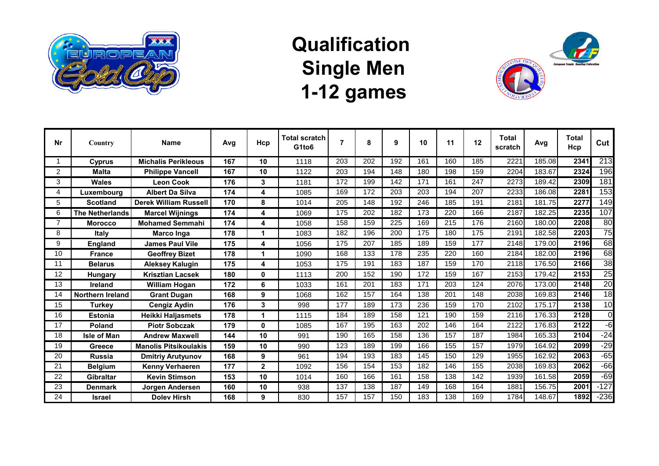

### **Qualification Single Men 1-12 games**



| <b>Nr</b>      | Country                | <b>Name</b>                  | Avg | Hcp          | <b>Total scratch</b><br>G1to6 |     | 8   | 9   | 10  | 11  | 12  | <b>Total</b><br>scratch | Avg    | <b>Total</b><br>Hcp | Cut             |
|----------------|------------------------|------------------------------|-----|--------------|-------------------------------|-----|-----|-----|-----|-----|-----|-------------------------|--------|---------------------|-----------------|
|                | Cyprus                 | <b>Michalis Perikleous</b>   | 167 | 10           | 1118                          | 203 | 202 | 192 | 161 | 160 | 185 | 2221                    | 185.08 | 2341                | 213             |
| $\overline{c}$ | <b>Malta</b>           | <b>Philippe Vancell</b>      | 167 | 10           | 1122                          | 203 | 194 | 148 | 180 | 198 | 159 | 2204                    | 183.67 | 2324                | 196             |
| 3              | <b>Wales</b>           | Leon Cook                    | 176 | 3            | 1181                          | 172 | 199 | 142 | 171 | 161 | 247 | 2273                    | 189.42 | 2309                | 181             |
| 4              | Luxembourg             | <b>Albert Da Silva</b>       | 174 | 4            | 1085                          | 169 | 172 | 203 | 203 | 194 | 207 | 2233                    | 186.08 | 2281                | 153             |
| 5              | <b>Scotland</b>        | <b>Derek William Russell</b> | 170 | 8            | 1014                          | 205 | 148 | 192 | 246 | 185 | 191 | 2181                    | 181.75 | 2277                | 149             |
| 6              | <b>The Netherlands</b> | <b>Marcel Wijnings</b>       | 174 | 4            | 1069                          | 175 | 202 | 182 | 173 | 220 | 166 | 2187                    | 182.25 | 2235                | 107             |
| $\overline{7}$ | <b>Morocco</b>         | <b>Mohamed Semmahi</b>       | 174 | 4            | 1058                          | 158 | 159 | 225 | 169 | 215 | 176 | 2160                    | 180.00 | 2208                | 80              |
| 8              | Italy                  | Marco Inga                   | 178 | 1            | 1083                          | 182 | 196 | 200 | 175 | 180 | 175 | 2191                    | 182.58 | 2203                | 75              |
| 9              | <b>England</b>         | <b>James Paul Vile</b>       | 175 | 4            | 1056                          | 175 | 207 | 185 | 189 | 159 | 177 | 2148                    | 179.00 | 2196                | 68              |
| 10             | <b>France</b>          | <b>Geoffrey Bizet</b>        | 178 | 1            | 1090                          | 168 | 133 | 178 | 235 | 220 | 160 | 2184                    | 182.00 | 2196                | 68              |
| 11             | <b>Belarus</b>         | Aleksey Kalugin              | 175 | 4            | 1053                          | 175 | 191 | 183 | 187 | 159 | 170 | 2118                    | 176.50 | 2166                | 38              |
| 12             | <b>Hungary</b>         | <b>Krisztian Lacsek</b>      | 180 | 0            | 1113                          | 200 | 152 | 190 | 172 | 159 | 167 | 2153                    | 179.42 | 2153                | 25              |
| 13             | Ireland                | <b>William Hogan</b>         | 172 | 6            | 1033                          | 161 | 201 | 183 | 171 | 203 | 124 | 2076                    | 173.00 | 2148                | $\overline{20}$ |
| 14             | Northern Ireland       | <b>Grant Dugan</b>           | 168 | 9            | 1068                          | 162 | 157 | 164 | 138 | 201 | 148 | 2038                    | 169.83 | 2146                | $\overline{18}$ |
| 15             | <b>Turkey</b>          | <b>Cengiz Aydin</b>          | 176 | 3            | 998                           | 177 | 189 | 173 | 236 | 159 | 170 | 2102                    | 175.17 | 2138                | 10              |
| 16             | Estonia                | Heikki Haljasmets            | 178 | 1            | 1115                          | 184 | 189 | 158 | 121 | 190 | 159 | 2116                    | 176.33 | 2128                | $\overline{0}$  |
| 17             | Poland                 | <b>Piotr Sobczak</b>         | 179 | 0            | 1085                          | 167 | 195 | 163 | 202 | 146 | 164 | 2122                    | 176.83 | 2122                | -61             |
| 18             | <b>Isle of Man</b>     | <b>Andrew Maxwell</b>        | 144 | 10           | 991                           | 190 | 165 | 158 | 136 | 157 | 187 | 1984                    | 165.33 | 2104                | $-24$           |
| 19             | <b>Greece</b>          | <b>Manolis Pitsikoulakis</b> | 159 | 10           | 990                           | 123 | 189 | 199 | 166 | 155 | 157 | 1979                    | 164.92 | 2099                | $-29$           |
| 20             | <b>Russia</b>          | <b>Dmitriy Arutyunov</b>     | 168 | 9            | 961                           | 194 | 193 | 183 | 145 | 150 | 129 | 1955                    | 162.92 | 2063                | $-65$           |
| 21             | <b>Belgium</b>         | <b>Kenny Verhaeren</b>       | 177 | $\mathbf{2}$ | 1092                          | 156 | 154 | 153 | 182 | 146 | 155 | 2038                    | 169.83 | 2062                | $-66$           |
| 22             | <b>Gibraltar</b>       | <b>Kevin Stimson</b>         | 153 | 10           | 1014                          | 160 | 166 | 161 | 158 | 138 | 142 | 1939                    | 161.58 | 2059                | $-69$           |
| 23             | Denmark                | Jorgen Andersen              | 160 | 10           | 938                           | 137 | 138 | 187 | 149 | 168 | 164 | 1881                    | 156.75 | 2001                | $-127$          |
| 24             | Israel                 | Dolev Hirsh                  | 168 | 9            | 830                           | 157 | 157 | 150 | 183 | 138 | 169 | 1784                    | 148.67 | 1892                | $-236$          |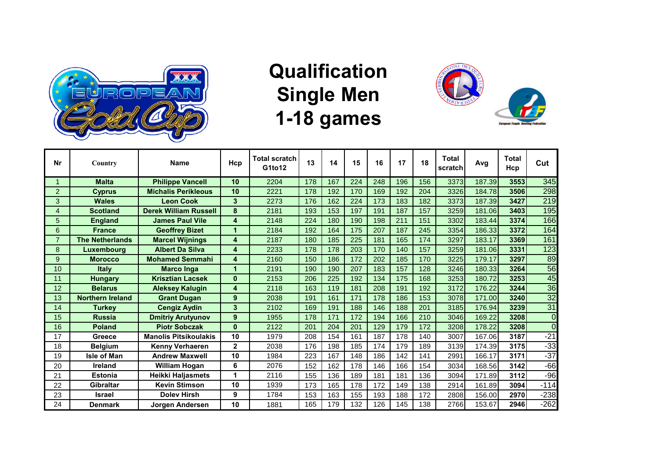

# **Qualification Single Men 1-18 games**



| <b>Nr</b>      | Country                 | <b>Name</b>                  | Hcp             | <b>Total scratch</b><br>G1to12 | 13  | 14  | 15  | 16  | 17  | 18  | Total<br>scratch | Avg    | <b>Total</b><br>Hcp | Cut              |
|----------------|-------------------------|------------------------------|-----------------|--------------------------------|-----|-----|-----|-----|-----|-----|------------------|--------|---------------------|------------------|
|                | <b>Malta</b>            | <b>Philippe Vancell</b>      | 10 <sup>°</sup> | 2204                           | 178 | 167 | 224 | 248 | 196 | 156 | 3373             | 187.39 | 3553                | $\overline{345}$ |
| 2              | <b>Cyprus</b>           | <b>Michalis Perikleous</b>   | 10              | 2221                           | 178 | 192 | 170 | 169 | 192 | 204 | 3326             | 184.78 | 3506                | 298              |
| 3              | <b>Wales</b>            | <b>Leon Cook</b>             | 3               | 2273                           | 176 | 162 | 224 | 173 | 183 | 182 | 3373             | 187.39 | 3427                | 219              |
| $\overline{4}$ | <b>Scotland</b>         | <b>Derek William Russell</b> | 8               | 2181                           | 193 | 153 | 197 | 191 | 187 | 157 | 3259             | 181.06 | 3403                | 195              |
| 5              | <b>England</b>          | <b>James Paul Vile</b>       | 4               | 2148                           | 224 | 180 | 190 | 198 | 211 | 151 | 3302             | 183.44 | 3374                | 166              |
| 6              | <b>France</b>           | <b>Geoffrey Bizet</b>        | 1               | 2184                           | 192 | 164 | 175 | 207 | 187 | 245 | 3354             | 186.33 | 3372                | 164              |
| $\overline{7}$ | <b>The Netherlands</b>  | <b>Marcel Wijnings</b>       | 4               | 2187                           | 180 | 185 | 225 | 181 | 165 | 174 | 3297             | 183.17 | 3369                | 161              |
| 8              | Luxembourg              | <b>Albert Da Silva</b>       | 4               | 2233                           | 178 | 178 | 203 | 170 | 140 | 157 | 3259             | 181.06 | 3331                | 123              |
| 9              | <b>Morocco</b>          | <b>Mohamed Semmahi</b>       | 4               | 2160                           | 150 | 186 | 172 | 202 | 185 | 170 | 3225             | 179.17 | 3297                | 89               |
| 10             | <b>Italy</b>            | <b>Marco Inga</b>            | 1               | 2191                           | 190 | 190 | 207 | 183 | 157 | 128 | 3246             | 180.33 | 3264                | 56               |
| 11             | <b>Hungary</b>          | <b>Krisztian Lacsek</b>      | $\bf{0}$        | 2153                           | 206 | 225 | 192 | 134 | 175 | 168 | 3253             | 180.72 | 3253                | 45               |
| 12             | <b>Belarus</b>          | <b>Aleksey Kalugin</b>       | 4               | 2118                           | 163 | 119 | 181 | 208 | 191 | 192 | 3172             | 176.22 | 3244                | 36               |
| 13             | <b>Northern Ireland</b> | <b>Grant Dugan</b>           | 9               | 2038                           | 191 | 161 | 171 | 178 | 186 | 153 | 3078             | 171.00 | 3240                | 32               |
| 14             | <b>Turkey</b>           | <b>Cengiz Aydin</b>          | 3               | 2102                           | 169 | 191 | 188 | 146 | 188 | 201 | 3185             | 176.94 | 3239                | 31               |
| 15             | <b>Russia</b>           | <b>Dmitriy Arutyunov</b>     | 9               | 1955                           | 178 | 171 | 172 | 194 | 166 | 210 | 3046             | 169.22 | 3208                | $\overline{0}$   |
| 16             | <b>Poland</b>           | <b>Piotr Sobczak</b>         | $\bf{0}$        | 2122                           | 201 | 204 | 201 | 129 | 179 | 172 | 3208             | 178.22 | 3208                | $\overline{0}$   |
| 17             | Greece                  | <b>Manolis Pitsikoulakis</b> | 10              | 1979                           | 208 | 154 | 161 | 187 | 178 | 140 | 3007             | 167.06 | 3187                | $-21$            |
| 18             | <b>Belaium</b>          | Kenny Verhaeren              | $\overline{2}$  | 2038                           | 176 | 198 | 185 | 174 | 179 | 189 | 3139             | 174.39 | 3175                | $-33$            |
| 19             | <b>Isle of Man</b>      | <b>Andrew Maxwell</b>        | 10              | 1984                           | 223 | 167 | 148 | 186 | 142 | 141 | 2991             | 166.17 | 3171                | $-37$            |
| 20             | <b>Ireland</b>          | <b>William Hogan</b>         | 6               | 2076                           | 152 | 162 | 178 | 146 | 166 | 154 | 3034             | 168.56 | 3142                | $-66$            |
| 21             | <b>Estonia</b>          | Heikki Haljasmets            | 1               | 2116                           | 155 | 136 | 189 | 181 | 181 | 136 | 3094             | 171.89 | 3112                | $-96$            |
| 22             | <b>Gibraltar</b>        | <b>Kevin Stimson</b>         | 10              | 1939                           | 173 | 165 | 178 | 172 | 149 | 138 | 2914             | 161.89 | 3094                | $-114$           |
| 23             | <b>Israel</b>           | <b>Doley Hirsh</b>           | 9               | 1784                           | 153 | 163 | 155 | 193 | 188 | 172 | 2808             | 156.00 | 2970                | $-238$           |
| 24             | <b>Denmark</b>          | Jorgen Andersen              | 10              | 1881                           | 165 | 179 | 132 | 126 | 145 | 138 | 2766             | 153.67 | 2946                | $-262$           |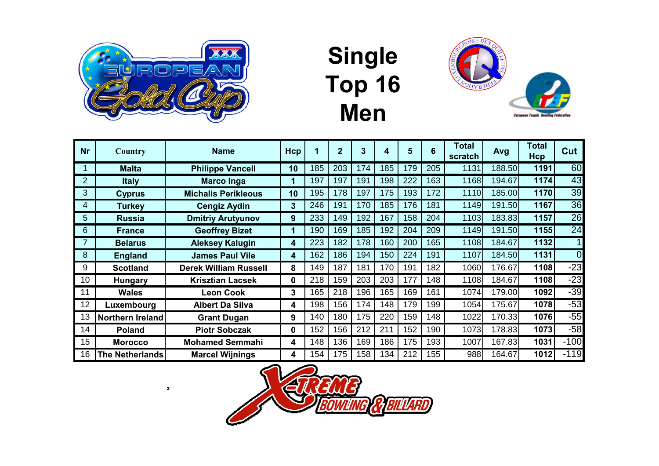

# **Single Top 16 Men**



| <b>Nr</b>      | Country                 | <b>Name</b>                  | Hcp | $\blacksquare$ | $\mathbf{2}$ | 3   | 4   | 5   | 6   | <b>Total</b><br>scratch | Avg    | <b>Total</b><br>Hcp | Cut            |
|----------------|-------------------------|------------------------------|-----|----------------|--------------|-----|-----|-----|-----|-------------------------|--------|---------------------|----------------|
|                | <b>Malta</b>            | <b>Philippe Vancell</b>      | 10  | 185            | 203          | 174 | 185 | 179 | 205 | 1131                    | 188.50 | 1191                | 60             |
| $\overline{2}$ | <b>Italy</b>            | <b>Marco Inga</b>            | 1   | 197            | 197          | 191 | 198 | 222 | 163 | 1168                    | 194.67 | 1174                | 43             |
| 3              | <b>Cyprus</b>           | <b>Michalis Perikleous</b>   | 10  | 195            | 178          | 197 | 175 | 193 | 172 | 1110                    | 185.00 | 1170                | 39             |
| 4              | <b>Turkey</b>           | <b>Cengiz Aydin</b>          | 3   | 246            | 191          | 170 | 185 | 176 | 181 | 1149                    | 191.50 | 1167                | 36             |
| 5              | <b>Russia</b>           | <b>Dmitriy Arutyunov</b>     | 9   | 233            | 149          | 192 | 167 | 158 | 204 | 1103                    | 183.83 | 1157                | 26             |
| 6              | <b>France</b>           | <b>Geoffrey Bizet</b>        | 1   | 190            | 169          | 185 | 192 | 204 | 209 | 1149                    | 191.50 | 1155                | 24             |
| 7              | <b>Belarus</b>          | <b>Aleksey Kalugin</b>       | 4   | 223            | 182          | 178 | 160 | 200 | 165 | 1108                    | 184.67 | 1132                |                |
| 8              | <b>England</b>          | <b>James Paul Vile</b>       | 4   | 162            | 186          | 194 | 150 | 224 | 191 | 1107                    | 184.50 | 1131                | $\overline{0}$ |
| 9              | <b>Scotland</b>         | <b>Derek William Russell</b> | 8   | 149            | 187          | 181 | 170 | 191 | 182 | 1060                    | 176.67 | 1108                | $-23$          |
| 10             | <b>Hungary</b>          | <b>Krisztian Lacsek</b>      | 0   | 218            | 159          | 203 | 203 | 177 | 148 | 1108                    | 184.67 | 1108                | $-23$          |
| 11             | <b>Wales</b>            | <b>Leon Cook</b>             | 3   | 165            | 218          | 196 | 165 | 169 | 161 | 1074                    | 179.00 | 1092                | $-39$          |
| 12             | Luxembourg              | <b>Albert Da Silva</b>       | 4   | 198            | 156          | 174 | 148 | 179 | 199 | 1054                    | 175.67 | 1078                | $-53$          |
| 13             | <b>Northern Ireland</b> | <b>Grant Dugan</b>           | 9   | 140            | 180          | 175 | 220 | 159 | 148 | 1022                    | 170.33 | 1076                | $-55$          |
| 14             | <b>Poland</b>           | <b>Piotr Sobczak</b>         | 0   | 152            | 156          | 212 | 211 | 152 | 190 | 1073                    | 178.83 | 1073                | $-58$          |
| 15             | <b>Morocco</b>          | <b>Mohamed Semmahi</b>       | 4   | 148            | 136          | 169 | 186 | 175 | 193 | 1007                    | 167.83 | 1031                | $-100$         |
| 16             | <b>The Netherlands</b>  | <b>Marcel Wijnings</b>       | 4   | 154            | 175          | 158 | 134 | 212 | 155 | 988                     | 164.67 | 1012                | $-119$         |

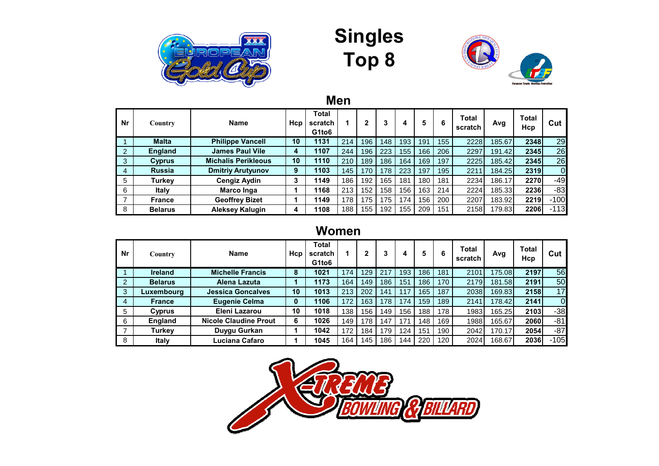





**Men**

| Nr             | Country        | <b>Name</b>                | Hcp | <b>Total</b><br>scratch<br>G1to <sub>6</sub> |     | 2   | 3   | 4   | 5   | 6   | Total<br>scratch | Avg    | <b>Total</b><br>Hcp | Cut            |
|----------------|----------------|----------------------------|-----|----------------------------------------------|-----|-----|-----|-----|-----|-----|------------------|--------|---------------------|----------------|
|                | <b>Malta</b>   | <b>Philippe Vancell</b>    | 10  | 1131                                         | 214 | 196 | 148 | 193 | 191 | 155 | 2228             | 185.67 | 2348                | 29             |
| $\overline{2}$ | <b>England</b> | <b>James Paul Vile</b>     | 4   | 1107                                         | 244 | 196 | 223 | 155 | 166 | 206 | 2297             | 191.42 | 2345                | 26             |
| 3              | Cyprus         | <b>Michalis Perikleous</b> | 10  | 1110                                         | 210 | 189 | 186 | 164 | 69  | 197 | 2225             | 185.42 | 2345                | 26             |
| $\overline{4}$ | <b>Russia</b>  | <b>Dmitriy Arutyunov</b>   | 9   | 1103                                         | 145 | 170 | 178 | 223 | 197 | 195 | 221              | 184.25 | 2319                | $\overline{0}$ |
| 5              | <b>Turkey</b>  | <b>Cengiz Aydin</b>        | 3   | 1149                                         | 186 | 192 | 165 | 181 | 180 | 181 | 2234             | 186.17 | 2270                | $-49$          |
| 6              | Italy          | Marco Inga                 |     | 1168                                         | 213 | 152 | 158 | 156 | 163 | 214 | 2224             | 185.33 | 2236                | -83            |
| $\overline{7}$ | <b>France</b>  | <b>Geoffrey Bizet</b>      |     | 1149                                         | 178 | 175 | 175 | 174 | 156 | 200 | 2207             | 183.92 | 2219                | $-100$         |
| 8              | <b>Belarus</b> | <b>Aleksey Kalugin</b>     |     | 1108                                         | 188 | 155 | 192 | 155 | 209 | 151 | 2158             | 179.83 | 2206                | $-113$         |

#### **Women**

| Nr | Country        | <b>Name</b>                  | Hcp | <b>Total</b><br>scratch<br>G1to <sub>6</sub> |     | 2   | 3   |     | 5   | 6   | <b>Total</b><br>scratch | Avg     | <b>Total</b><br>Hcp | Cut      |
|----|----------------|------------------------------|-----|----------------------------------------------|-----|-----|-----|-----|-----|-----|-------------------------|---------|---------------------|----------|
|    | <b>Ireland</b> | <b>Michelle Francis</b>      | 8   | 1021                                         | 174 | 129 | 217 | 193 | 186 | 181 | 2101                    | 175.08  | 2197                | 56       |
| 2  | <b>Belarus</b> | Alena Lazuta                 |     | 1173                                         | 164 | 149 | 186 | 151 | 186 | 170 | 2179                    | 181.58  | 2191                | 50       |
| 3  | Luxembourg     | <b>Jessica Goncalves</b>     | 10  | 1013                                         | 213 | 202 | 141 | 117 | 165 | 187 | 2038                    | 169.831 | 2158                | 17       |
| 4  | <b>France</b>  | <b>Eugenie Celma</b>         | 0   | 1106                                         | 172 | 163 | 178 | 74  | 159 | 189 | 2141                    | 178.42  | 2141                | $\Omega$ |
| 5  | Cyprus         | Eleni Lazarou                | 10  | 1018                                         | 138 | 156 | 149 | 156 | 188 | 178 | 1983                    | 165.25  | 2103                | $-38$    |
| 6  | <b>England</b> | <b>Nicole Claudine Prout</b> | 6   | 1026                                         | 149 | 178 | 147 | 171 | 148 | 169 | 1988                    | 165.67  | 2060                | -81      |
| ⇁  | Turkey         | Duygu Gurkan                 |     | 1042                                         | 172 | 184 | 179 | 124 | 151 | 190 | 2042                    | 170.17  | 2054                | $-87$    |
| 8  | <b>Italy</b>   | Luciana Cafaro               |     | 1045                                         | 164 | 145 | 186 | 44  | 220 | 120 | 2024                    | 168.67  | 2036                | $-105$   |